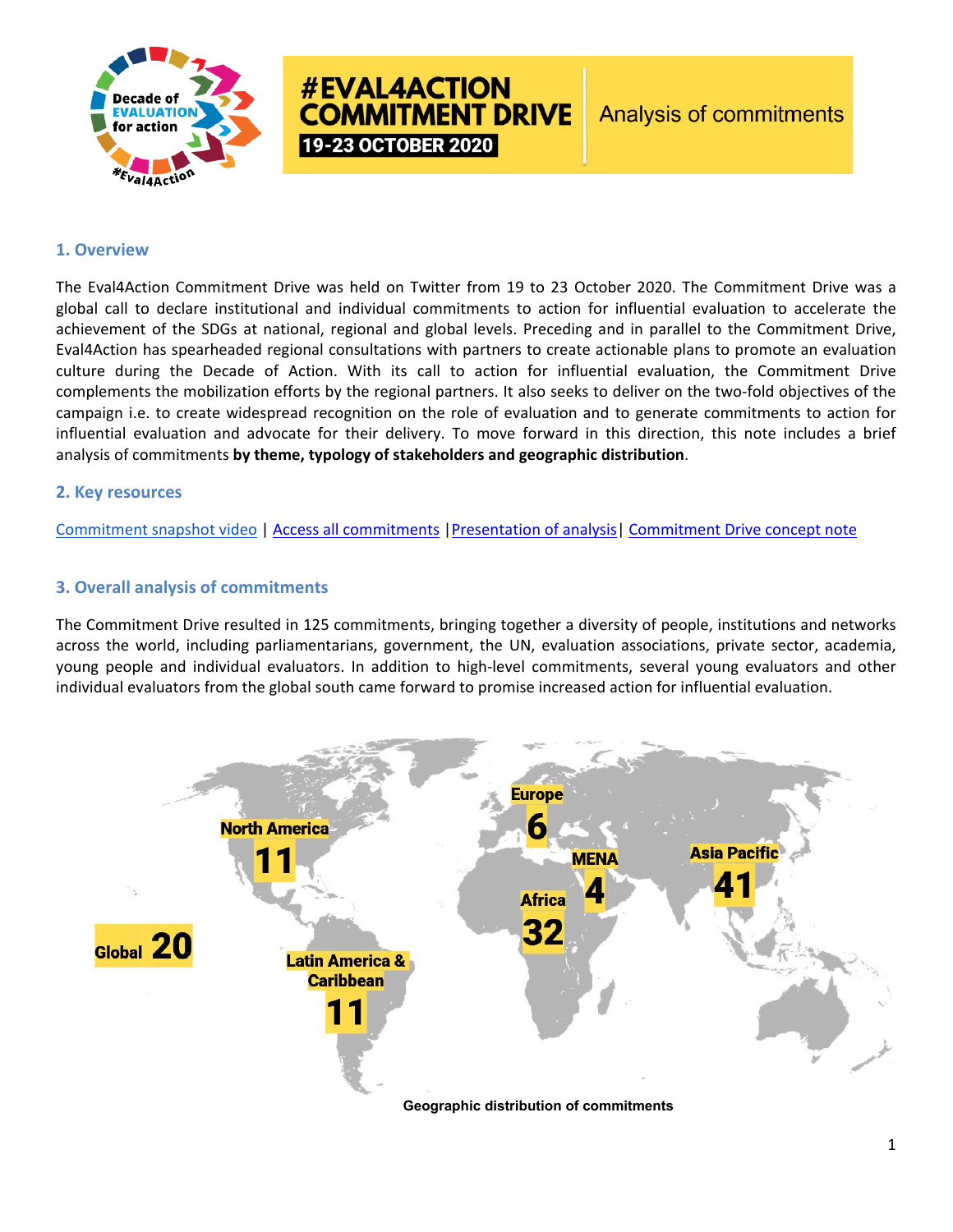

# **#EVAL4ACTION COMMITMENT DRIVE** 19-23 OCTOBER 2020

# **1. Overview**

The Eval4Action Commitment Drive was held on Twitter from 19 to 23 October 2020. The Commitment Drive was a global call to declare institutional and individual commitments to action for influential evaluation to accelerate the achievement of the SDGs at national, regional and global levels. Preceding and in parallel to the Commitment Drive, Eval4Action has spearheaded regional consultations with partners to create actionable plans to promote an evaluation culture during the Decade of Action. With its call to action for influential evaluation, the Commitment Drive complements the mobilization efforts by the regional partners. It also seeks to deliver on the two-fold objectives of the campaign i.e. to create widespread recognition on the role of evaluation and to generate commitments to action for influential evaluation and advocate for their delivery. To move forward in this direction, this note includes a brief analysis of commitments **by theme, typology of stakeholders and geographic distribution**.

### **2. Key resources**

[Commitment snapshot video](https://www.youtube.com/watch?v=jV_Nod_qIww&ab_channel=Eval4ActionCampaign) | [Access all commitments](https://www.eval4action.org/commitment-drive) [|Presentation of analysis|](https://drive.google.com/file/d/18hSx6tOeRHaxAi8nnhT3DrZC9qTUYRis/view?usp=sharing) [Commitment Drive concept note](https://d8a59853-d87d-4b45-98ea-3a13a9c4407e.filesusr.com/ugd/6bffc4_21559a693fc74e6db07e469a754bfe7c.pdf)

# **3. Overall analysis of commitments**

The Commitment Drive resulted in 125 commitments, bringing together a diversity of people, institutions and networks across the world, including parliamentarians, government, the UN, evaluation associations, private sector, academia, young people and individual evaluators. In addition to high-level commitments, several young evaluators and other individual evaluators from the global south came forward to promise increased action for influential evaluation.

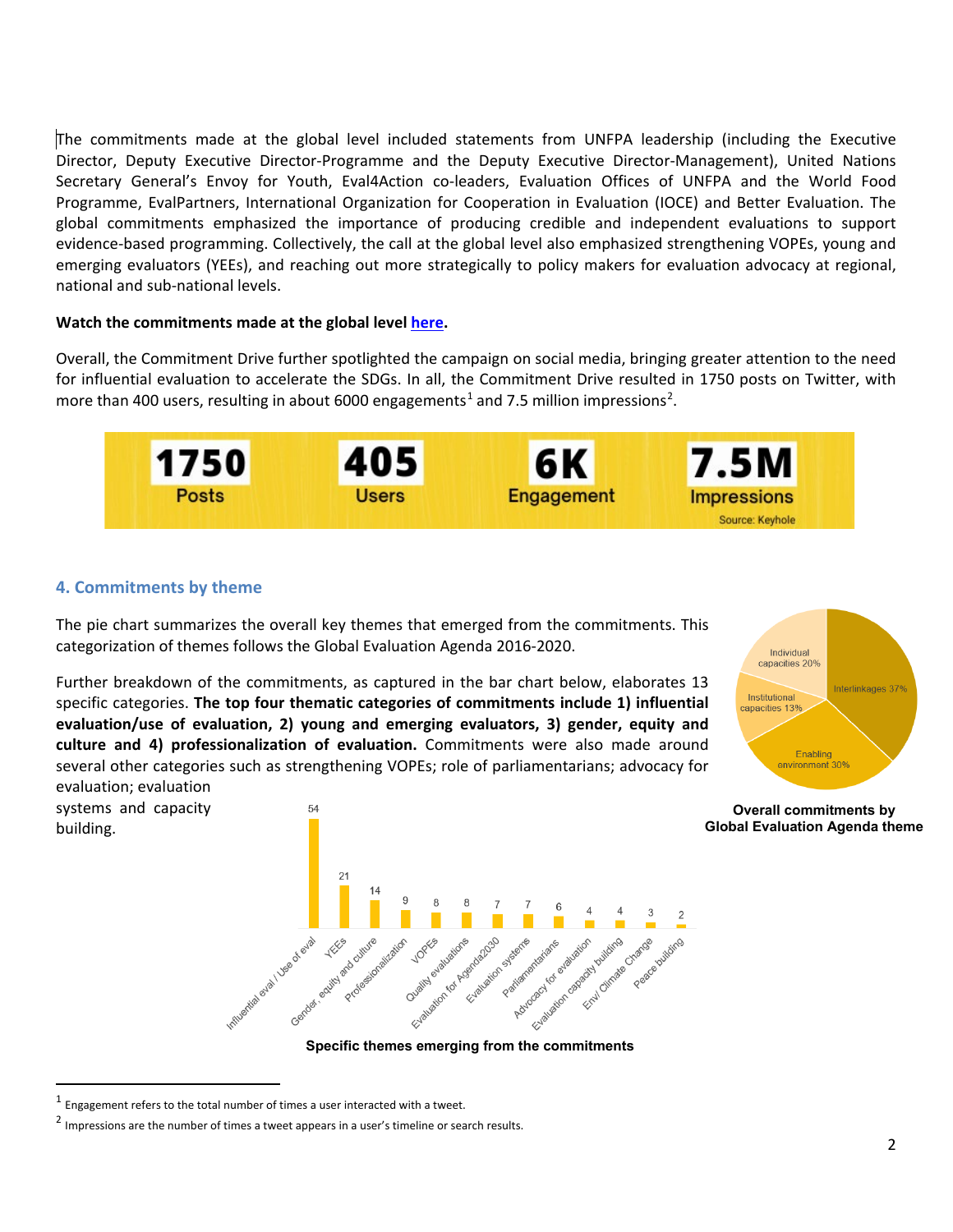The commitments made at the global level included statements from UNFPA leadership (including the Executive Director, Deputy Executive Director-Programme and the Deputy Executive Director-Management), United Nations Secretary General's Envoy for Youth, Eval4Action co-leaders, Evaluation Offices of UNFPA and the World Food Programme, EvalPartners, International Organization for Cooperation in Evaluation (IOCE) and Better Evaluation. The global commitments emphasized the importance of producing credible and independent evaluations to support evidence-based programming. Collectively, the call at the global level also emphasized strengthening VOPEs, young and emerging evaluators (YEEs), and reaching out more strategically to policy makers for evaluation advocacy at regional, national and sub-national levels.

#### **Watch the commitments made at the global level [here.](https://www.youtube.com/playlist?list=PLSXE2I1WHCkOCNtlPvO6QW5CJ9_6ieBwe)**

Overall, the Commitment Drive further spotlighted the campaign on social media, bringing greater attention to the need for influential evaluation to accelerate the SDGs. In all, the Commitment Drive resulted in 1750 posts on Twitter, with more than 400 users, resulting in about 6000 engagements<sup>[1](#page-1-0)</sup> and 7.5 million impressions<sup>[2](#page-1-1)</sup>.



# **4. Commitments by theme**

systems and capacity

building.

The pie chart summarizes the overall key themes that emerged from the commitments. This categorization of themes follows the Global Evaluation Agenda 2016-2020.

Further breakdown of the commitments, as captured in the bar chart below, elaborates 13 specific categories. **The top four thematic categories of commitments include 1) influential evaluation/use of evaluation, 2) young and emerging evaluators, 3) gender, equity and culture and 4) professionalization of evaluation.** Commitments were also made around several other categories such as strengthening VOPEs; role of parliamentarians; advocacy for evaluation; evaluation



**Overall commitments by**



<span id="page-1-0"></span> $1$  Engagement refers to the total number of times a user interacted with a tweet.

<span id="page-1-1"></span><sup>&</sup>lt;sup>2</sup> Impressions are the number of times a tweet appears in a user's timeline or search results.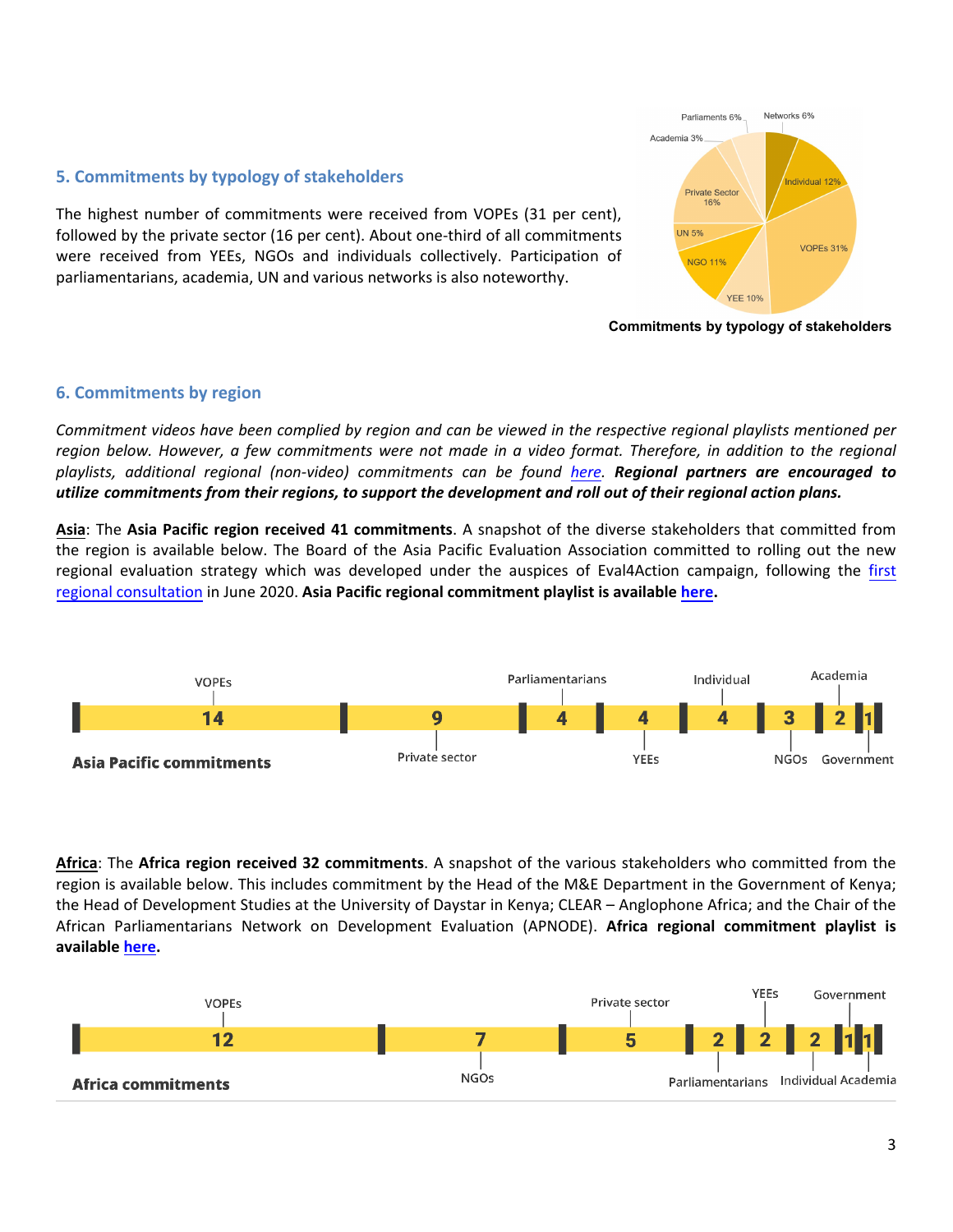

## **5. Commitments by typology of stakeholders**

The highest number of commitments were received from VOPEs (31 per cent), followed by the private sector (16 per cent). About one-third of all commitments were received from YEEs, NGOs and individuals collectively. Participation of parliamentarians, academia, UN and various networks is also noteworthy.

**Commitments by typology of stakeholders**

# **6. Commitments by region**

*Commitment videos have been complied by region and can be viewed in the respective regional playlists mentioned per*  region below. However, a few commitments were not made in a video format. Therefore, in addition to the regional *playlists, additional regional (non-video) commitments can be foun[d here.](https://www.eval4action.org/commitment-drive) Regional partners are encouraged to utilize commitments from their regions, to support the development and roll out of their regional action plans.* 

**Asia**: The **Asia Pacific region received 41 commitments**. A snapshot of the diverse stakeholders that committed from the region is available below. The Board of the Asia Pacific Evaluation Association committed to rolling out the new regional evaluation strategy which was developed under the auspices of Eval4Action campaign, following the [first](https://www.eval4action.org/post/eval4action-launch-in-asia-pacific)  [regional consultation](https://www.eval4action.org/post/eval4action-launch-in-asia-pacific) in June 2020. **Asia Pacific regional commitment playlist is availabl[e here.](https://www.youtube.com/playlist?list=PLSXE2I1WHCkP5IUai27zng20JB61tQKUp)**



**Africa**: The **Africa region received 32 commitments**. A snapshot of the various stakeholders who committed from the region is available below. This includes commitment by the Head of the M&E Department in the Government of Kenya; the Head of Development Studies at the University of Daystar in Kenya; CLEAR – Anglophone Africa; and the Chair of the African Parliamentarians Network on Development Evaluation (APNODE). **Africa regional commitment playlist is available [here.](https://www.youtube.com/playlist?list=PLSXE2I1WHCkOjWgsXWkLf1S3Ecyq1P0xT)**